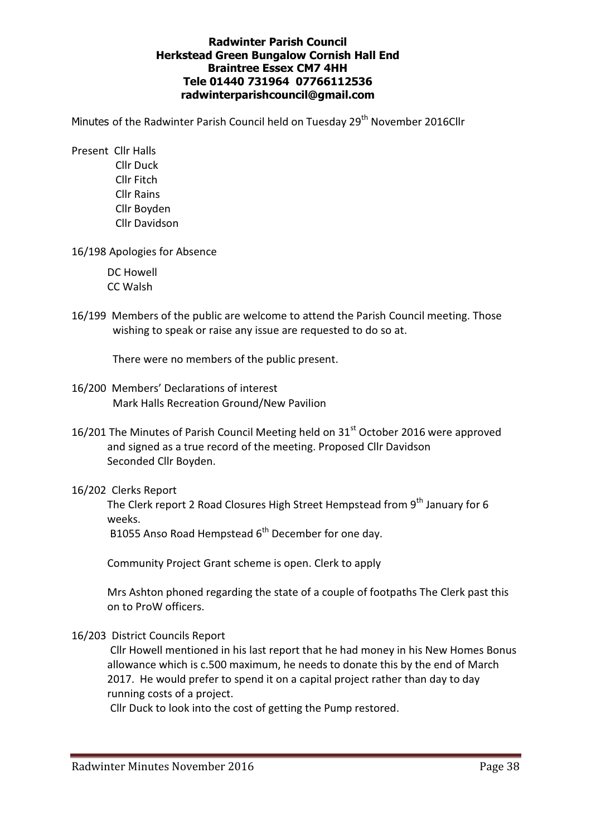### Radwinter Parish Council Herkstead Green Bungalow Cornish Hall End Braintree Essex CM7 4HH Tele 01440 731964 07766112536 radwinterparishcouncil@gmail.com

Minutes of the Radwinter Parish Council held on Tuesday 29<sup>th</sup> November 2016Cllr

- Present Cllr Halls Cllr Duck Cllr Fitch Cllr Rains Cllr Boyden Cllr Davidson
- 16/198 Apologies for Absence

 DC Howell CC Walsh

16/199 Members of the public are welcome to attend the Parish Council meeting. Those wishing to speak or raise any issue are requested to do so at.

There were no members of the public present.

- 16/200 Members' Declarations of interest Mark Halls Recreation Ground/New Pavilion
- 16/201 The Minutes of Parish Council Meeting held on 31<sup>st</sup> October 2016 were approved and signed as a true record of the meeting. Proposed Cllr Davidson Seconded Cllr Boyden.
- 16/202 Clerks Report

The Clerk report 2 Road Closures High Street Hempstead from 9<sup>th</sup> January for 6 weeks.

B1055 Anso Road Hempstead 6<sup>th</sup> December for one day.

Community Project Grant scheme is open. Clerk to apply

Mrs Ashton phoned regarding the state of a couple of footpaths The Clerk past this on to ProW officers.

16/203 District Councils Report

Cllr Howell mentioned in his last report that he had money in his New Homes Bonus allowance which is c.500 maximum, he needs to donate this by the end of March 2017. He would prefer to spend it on a capital project rather than day to day running costs of a project.

Cllr Duck to look into the cost of getting the Pump restored.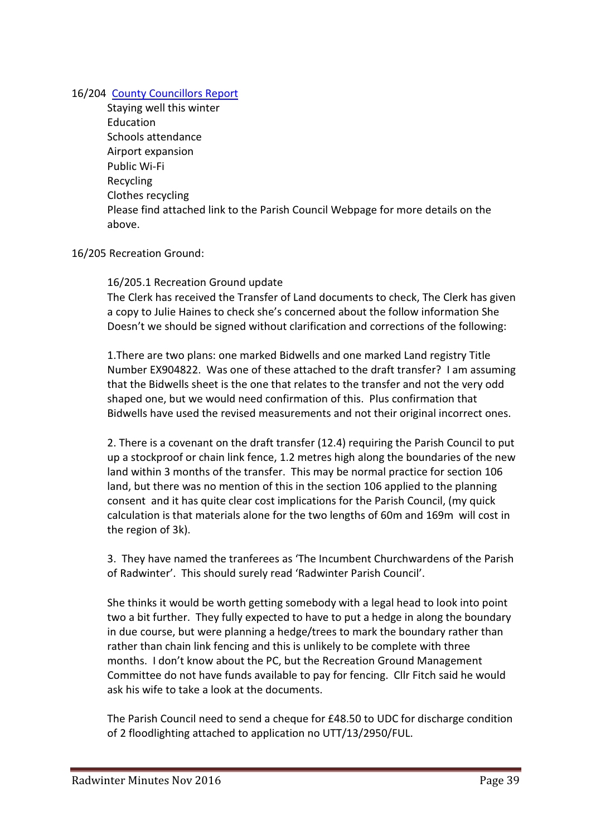## 16/204 County Councillors Report

 Staying well this winter Education Schools attendance Airport expansion Public Wi-Fi Recycling Clothes recycling Please find attached link to the Parish Council Webpage for more details on the above.

# 16/205 Recreation Ground:

## 16/205.1 Recreation Ground update

The Clerk has received the Transfer of Land documents to check, The Clerk has given a copy to Julie Haines to check she's concerned about the follow information She Doesn't we should be signed without clarification and corrections of the following:

1.There are two plans: one marked Bidwells and one marked Land registry Title Number EX904822. Was one of these attached to the draft transfer? I am assuming that the Bidwells sheet is the one that relates to the transfer and not the very odd shaped one, but we would need confirmation of this. Plus confirmation that Bidwells have used the revised measurements and not their original incorrect ones.

2. There is a covenant on the draft transfer (12.4) requiring the Parish Council to put up a stockproof or chain link fence, 1.2 metres high along the boundaries of the new land within 3 months of the transfer. This may be normal practice for section 106 land, but there was no mention of this in the section 106 applied to the planning consent and it has quite clear cost implications for the Parish Council, (my quick calculation is that materials alone for the two lengths of 60m and 169m will cost in the region of 3k).

3. They have named the tranferees as 'The Incumbent Churchwardens of the Parish of Radwinter'. This should surely read 'Radwinter Parish Council'.

She thinks it would be worth getting somebody with a legal head to look into point two a bit further. They fully expected to have to put a hedge in along the boundary in due course, but were planning a hedge/trees to mark the boundary rather than rather than chain link fencing and this is unlikely to be complete with three months. I don't know about the PC, but the Recreation Ground Management Committee do not have funds available to pay for fencing. Cllr Fitch said he would ask his wife to take a look at the documents.

The Parish Council need to send a cheque for £48.50 to UDC for discharge condition of 2 floodlighting attached to application no UTT/13/2950/FUL.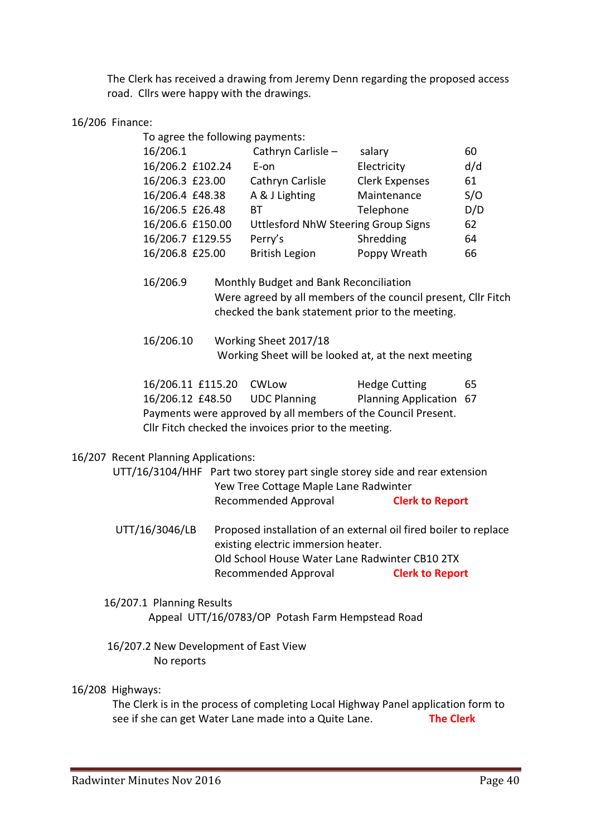The Clerk has received a drawing from Jeremy Denn regarding the proposed access road. Cllrs were happy with the drawings.

### 16/206 Finance:

| To agree the following payments: |                                     |                       |     |
|----------------------------------|-------------------------------------|-----------------------|-----|
| 16/206.1                         | Cathryn Carlisle -                  | salary                | 60  |
| 16/206.2 £102.24                 | $E$ -on                             | Electricity           | d/d |
| 16/206.3 £23.00                  | Cathryn Carlisle                    | <b>Clerk Expenses</b> | 61  |
| 16/206.4 £48.38                  | A & J Lighting                      | Maintenance           | S/O |
| 16/206.5 £26.48                  | ВT                                  | Telephone             | D/D |
| 16/206.6 £150.00                 | Uttlesford NhW Steering Group Signs |                       | 62  |
| 16/206.7 £129.55                 | Perry's                             | Shredding             | 64  |
| 16/206.8 £25.00                  | <b>British Legion</b>               | Poppy Wreath          | 66  |
|                                  |                                     |                       |     |

 16/206.9 Monthly Budget and Bank Reconciliation Were agreed by all members of the council present, Cllr Fitch checked the bank statement prior to the meeting.

 16/206.10 Working Sheet 2017/18 Working Sheet will be looked at, at the next meeting

 16/206.11 £115.20 CWLow Hedge Cutting 65 16/206.12 £48.50 UDC Planning Planning Application 67 Payments were approved by all members of the Council Present. Cllr Fitch checked the invoices prior to the meeting.

#### 16/207 Recent Planning Applications:

 UTT/16/3104/HHF Part two storey part single storey side and rear extension Yew Tree Cottage Maple Lane Radwinter Recommended Approval **Clerk to Report** 

- UTT/16/3046/LB Proposed installation of an external oil fired boiler to replace existing electric immersion heater. Old School House Water Lane Radwinter CB10 2TX Recommended Approval **Clerk to Report**
- 16/207.1 Planning Results Appeal UTT/16/0783/OP Potash Farm Hempstead Road
- 16/207.2 New Development of East View No reports

# 16/208 Highways:

The Clerk is in the process of completing Local Highway Panel application form to see if she can get Water Lane made into a Quite Lane. The Clerk